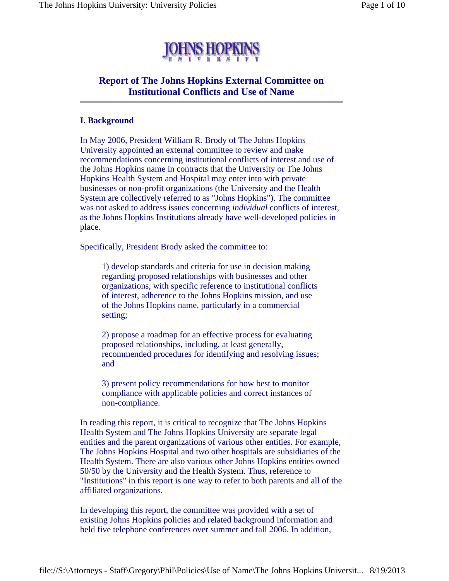

# **Report of The Johns Hopkins External Committee on Institutional Conflicts and Use of Name**

# **I. Background**

In May 2006, President William R. Brody of The Johns Hopkins University appointed an external committee to review and make recommendations concerning institutional conflicts of interest and use of the Johns Hopkins name in contracts that the University or The Johns Hopkins Health System and Hospital may enter into with private businesses or non-profit organizations (the University and the Health System are collectively referred to as "Johns Hopkins"). The committee was not asked to address issues concerning *individual* conflicts of interest, as the Johns Hopkins Institutions already have well-developed policies in place.

Specifically, President Brody asked the committee to:

1) develop standards and criteria for use in decision making regarding proposed relationships with businesses and other organizations, with specific reference to institutional conflicts of interest, adherence to the Johns Hopkins mission, and use of the Johns Hopkins name, particularly in a commercial setting;

2) propose a roadmap for an effective process for evaluating proposed relationships, including, at least generally, recommended procedures for identifying and resolving issues; and

3) present policy recommendations for how best to monitor compliance with applicable policies and correct instances of non-compliance.

In reading this report, it is critical to recognize that The Johns Hopkins Health System and The Johns Hopkins University are separate legal entities and the parent organizations of various other entities. For example, The Johns Hopkins Hospital and two other hospitals are subsidiaries of the Health System. There are also various other Johns Hopkins entities owned 50/50 by the University and the Health System. Thus, reference to "Institutions" in this report is one way to refer to both parents and all of the affiliated organizations.

In developing this report, the committee was provided with a set of existing Johns Hopkins policies and related background information and held five telephone conferences over summer and fall 2006. In addition,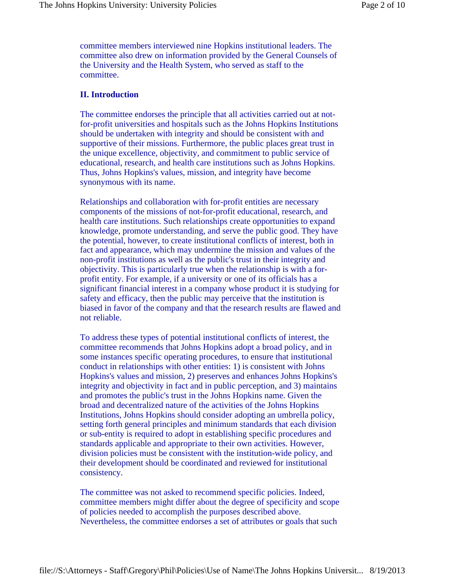committee members interviewed nine Hopkins institutional leaders. The committee also drew on information provided by the General Counsels of the University and the Health System, who served as staff to the committee.

# **II. Introduction**

The committee endorses the principle that all activities carried out at notfor-profit universities and hospitals such as the Johns Hopkins Institutions should be undertaken with integrity and should be consistent with and supportive of their missions. Furthermore, the public places great trust in the unique excellence, objectivity, and commitment to public service of educational, research, and health care institutions such as Johns Hopkins. Thus, Johns Hopkins's values, mission, and integrity have become synonymous with its name.

Relationships and collaboration with for-profit entities are necessary components of the missions of not-for-profit educational, research, and health care institutions. Such relationships create opportunities to expand knowledge, promote understanding, and serve the public good. They have the potential, however, to create institutional conflicts of interest, both in fact and appearance, which may undermine the mission and values of the non-profit institutions as well as the public's trust in their integrity and objectivity. This is particularly true when the relationship is with a forprofit entity. For example, if a university or one of its officials has a significant financial interest in a company whose product it is studying for safety and efficacy, then the public may perceive that the institution is biased in favor of the company and that the research results are flawed and not reliable.

To address these types of potential institutional conflicts of interest, the committee recommends that Johns Hopkins adopt a broad policy, and in some instances specific operating procedures, to ensure that institutional conduct in relationships with other entities: 1) is consistent with Johns Hopkins's values and mission, 2) preserves and enhances Johns Hopkins's integrity and objectivity in fact and in public perception, and 3) maintains and promotes the public's trust in the Johns Hopkins name. Given the broad and decentralized nature of the activities of the Johns Hopkins Institutions, Johns Hopkins should consider adopting an umbrella policy, setting forth general principles and minimum standards that each division or sub-entity is required to adopt in establishing specific procedures and standards applicable and appropriate to their own activities. However, division policies must be consistent with the institution-wide policy, and their development should be coordinated and reviewed for institutional consistency.

The committee was not asked to recommend specific policies. Indeed, committee members might differ about the degree of specificity and scope of policies needed to accomplish the purposes described above. Nevertheless, the committee endorses a set of attributes or goals that such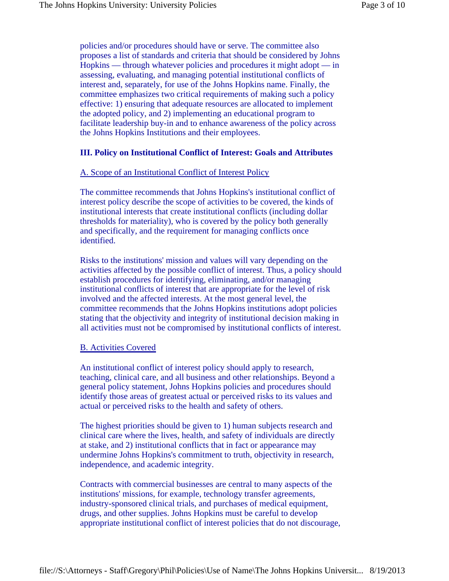policies and/or procedures should have or serve. The committee also proposes a list of standards and criteria that should be considered by Johns Hopkins — through whatever policies and procedures it might adopt — in assessing, evaluating, and managing potential institutional conflicts of interest and, separately, for use of the Johns Hopkins name. Finally, the committee emphasizes two critical requirements of making such a policy effective: 1) ensuring that adequate resources are allocated to implement the adopted policy, and 2) implementing an educational program to facilitate leadership buy-in and to enhance awareness of the policy across the Johns Hopkins Institutions and their employees.

# **III. Policy on Institutional Conflict of Interest: Goals and Attributes**

#### A. Scope of an Institutional Conflict of Interest Policy

The committee recommends that Johns Hopkins's institutional conflict of interest policy describe the scope of activities to be covered, the kinds of institutional interests that create institutional conflicts (including dollar thresholds for materiality), who is covered by the policy both generally and specifically, and the requirement for managing conflicts once identified.

Risks to the institutions' mission and values will vary depending on the activities affected by the possible conflict of interest. Thus, a policy should establish procedures for identifying, eliminating, and/or managing institutional conflicts of interest that are appropriate for the level of risk involved and the affected interests. At the most general level, the committee recommends that the Johns Hopkins institutions adopt policies stating that the objectivity and integrity of institutional decision making in all activities must not be compromised by institutional conflicts of interest.

#### B. Activities Covered

An institutional conflict of interest policy should apply to research, teaching, clinical care, and all business and other relationships. Beyond a general policy statement, Johns Hopkins policies and procedures should identify those areas of greatest actual or perceived risks to its values and actual or perceived risks to the health and safety of others.

The highest priorities should be given to 1) human subjects research and clinical care where the lives, health, and safety of individuals are directly at stake, and 2) institutional conflicts that in fact or appearance may undermine Johns Hopkins's commitment to truth, objectivity in research, independence, and academic integrity.

Contracts with commercial businesses are central to many aspects of the institutions' missions, for example, technology transfer agreements, industry-sponsored clinical trials, and purchases of medical equipment, drugs, and other supplies. Johns Hopkins must be careful to develop appropriate institutional conflict of interest policies that do not discourage,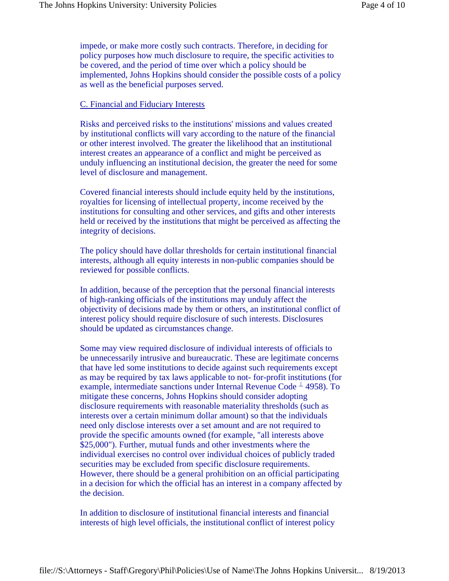impede, or make more costly such contracts. Therefore, in deciding for policy purposes how much disclosure to require, the specific activities to be covered, and the period of time over which a policy should be implemented, Johns Hopkins should consider the possible costs of a policy as well as the beneficial purposes served.

#### C. Financial and Fiduciary Interests

Risks and perceived risks to the institutions' missions and values created by institutional conflicts will vary according to the nature of the financial or other interest involved. The greater the likelihood that an institutional interest creates an appearance of a conflict and might be perceived as unduly influencing an institutional decision, the greater the need for some level of disclosure and management.

Covered financial interests should include equity held by the institutions, royalties for licensing of intellectual property, income received by the institutions for consulting and other services, and gifts and other interests held or received by the institutions that might be perceived as affecting the integrity of decisions.

The policy should have dollar thresholds for certain institutional financial interests, although all equity interests in non-public companies should be reviewed for possible conflicts.

In addition, because of the perception that the personal financial interests of high-ranking officials of the institutions may unduly affect the objectivity of decisions made by them or others, an institutional conflict of interest policy should require disclosure of such interests. Disclosures should be updated as circumstances change.

Some may view required disclosure of individual interests of officials to be unnecessarily intrusive and bureaucratic. These are legitimate concerns that have led some institutions to decide against such requirements except as may be required by tax laws applicable to not- for-profit institutions (for example, intermediate sanctions under Internal Revenue Code  $\perp$  4958). To mitigate these concerns, Johns Hopkins should consider adopting disclosure requirements with reasonable materiality thresholds (such as interests over a certain minimum dollar amount) so that the individuals need only disclose interests over a set amount and are not required to provide the specific amounts owned (for example, "all interests above \$25,000"). Further, mutual funds and other investments where the individual exercises no control over individual choices of publicly traded securities may be excluded from specific disclosure requirements. However, there should be a general prohibition on an official participating in a decision for which the official has an interest in a company affected by the decision.

In addition to disclosure of institutional financial interests and financial interests of high level officials, the institutional conflict of interest policy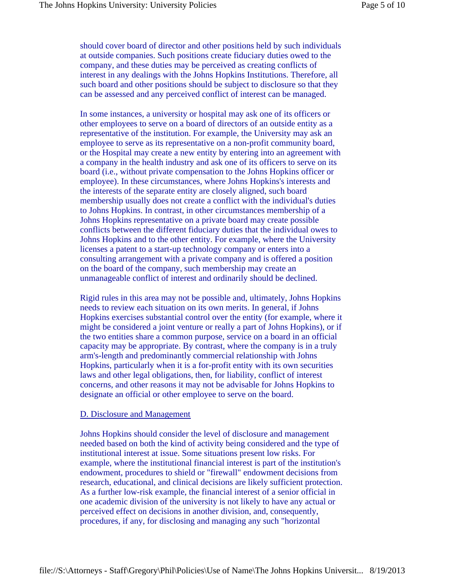should cover board of director and other positions held by such individuals at outside companies. Such positions create fiduciary duties owed to the company, and these duties may be perceived as creating conflicts of interest in any dealings with the Johns Hopkins Institutions. Therefore, all such board and other positions should be subject to disclosure so that they can be assessed and any perceived conflict of interest can be managed.

In some instances, a university or hospital may ask one of its officers or other employees to serve on a board of directors of an outside entity as a representative of the institution. For example, the University may ask an employee to serve as its representative on a non-profit community board, or the Hospital may create a new entity by entering into an agreement with a company in the health industry and ask one of its officers to serve on its board (i.e., without private compensation to the Johns Hopkins officer or employee). In these circumstances, where Johns Hopkins's interests and the interests of the separate entity are closely aligned, such board membership usually does not create a conflict with the individual's duties to Johns Hopkins. In contrast, in other circumstances membership of a Johns Hopkins representative on a private board may create possible conflicts between the different fiduciary duties that the individual owes to Johns Hopkins and to the other entity. For example, where the University licenses a patent to a start-up technology company or enters into a consulting arrangement with a private company and is offered a position on the board of the company, such membership may create an unmanageable conflict of interest and ordinarily should be declined.

Rigid rules in this area may not be possible and, ultimately, Johns Hopkins needs to review each situation on its own merits. In general, if Johns Hopkins exercises substantial control over the entity (for example, where it might be considered a joint venture or really a part of Johns Hopkins), or if the two entities share a common purpose, service on a board in an official capacity may be appropriate. By contrast, where the company is in a truly arm's-length and predominantly commercial relationship with Johns Hopkins, particularly when it is a for-profit entity with its own securities laws and other legal obligations, then, for liability, conflict of interest concerns, and other reasons it may not be advisable for Johns Hopkins to designate an official or other employee to serve on the board.

#### D. Disclosure and Management

Johns Hopkins should consider the level of disclosure and management needed based on both the kind of activity being considered and the type of institutional interest at issue. Some situations present low risks. For example, where the institutional financial interest is part of the institution's endowment, procedures to shield or "firewall" endowment decisions from research, educational, and clinical decisions are likely sufficient protection. As a further low-risk example, the financial interest of a senior official in one academic division of the university is not likely to have any actual or perceived effect on decisions in another division, and, consequently, procedures, if any, for disclosing and managing any such "horizontal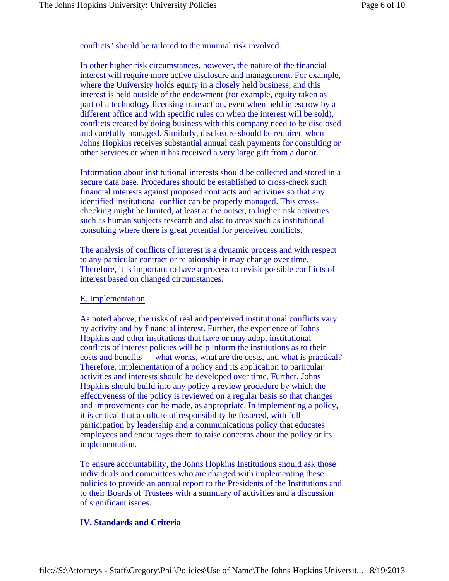conflicts" should be tailored to the minimal risk involved.

In other higher risk circumstances, however, the nature of the financial interest will require more active disclosure and management. For example, where the University holds equity in a closely held business, and this interest is held outside of the endowment (for example, equity taken as part of a technology licensing transaction, even when held in escrow by a different office and with specific rules on when the interest will be sold), conflicts created by doing business with this company need to be disclosed and carefully managed. Similarly, disclosure should be required when Johns Hopkins receives substantial annual cash payments for consulting or other services or when it has received a very large gift from a donor.

Information about institutional interests should be collected and stored in a secure data base. Procedures should be established to cross-check such financial interests against proposed contracts and activities so that any identified institutional conflict can be properly managed. This crosschecking might be limited, at least at the outset, to higher risk activities such as human subjects research and also to areas such as institutional consulting where there is great potential for perceived conflicts.

The analysis of conflicts of interest is a dynamic process and with respect to any particular contract or relationship it may change over time. Therefore, it is important to have a process to revisit possible conflicts of interest based on changed circumstances.

# E. Implementation

As noted above, the risks of real and perceived institutional conflicts vary by activity and by financial interest. Further, the experience of Johns Hopkins and other institutions that have or may adopt institutional conflicts of interest policies will help inform the institutions as to their costs and benefits — what works, what are the costs, and what is practical? Therefore, implementation of a policy and its application to particular activities and interests should be developed over time. Further, Johns Hopkins should build into any policy a review procedure by which the effectiveness of the policy is reviewed on a regular basis so that changes and improvements can be made, as appropriate. In implementing a policy, it is critical that a culture of responsibility be fostered, with full participation by leadership and a communications policy that educates employees and encourages them to raise concerns about the policy or its implementation.

To ensure accountability, the Johns Hopkins Institutions should ask those individuals and committees who are charged with implementing these policies to provide an annual report to the Presidents of the Institutions and to their Boards of Trustees with a summary of activities and a discussion of significant issues.

#### **IV. Standards and Criteria**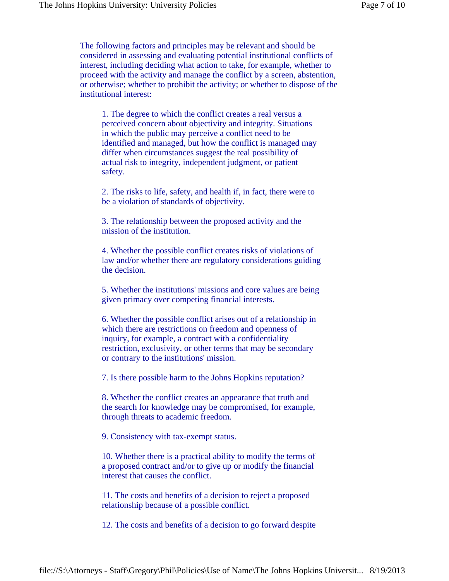The following factors and principles may be relevant and should be considered in assessing and evaluating potential institutional conflicts of interest, including deciding what action to take, for example, whether to proceed with the activity and manage the conflict by a screen, abstention, or otherwise; whether to prohibit the activity; or whether to dispose of the institutional interest:

1. The degree to which the conflict creates a real versus a perceived concern about objectivity and integrity. Situations in which the public may perceive a conflict need to be identified and managed, but how the conflict is managed may differ when circumstances suggest the real possibility of actual risk to integrity, independent judgment, or patient safety.

2. The risks to life, safety, and health if, in fact, there were to be a violation of standards of objectivity.

3. The relationship between the proposed activity and the mission of the institution.

4. Whether the possible conflict creates risks of violations of law and/or whether there are regulatory considerations guiding the decision.

5. Whether the institutions' missions and core values are being given primacy over competing financial interests.

6. Whether the possible conflict arises out of a relationship in which there are restrictions on freedom and openness of inquiry, for example, a contract with a confidentiality restriction, exclusivity, or other terms that may be secondary or contrary to the institutions' mission.

7. Is there possible harm to the Johns Hopkins reputation?

8. Whether the conflict creates an appearance that truth and the search for knowledge may be compromised, for example, through threats to academic freedom.

9. Consistency with tax-exempt status.

10. Whether there is a practical ability to modify the terms of a proposed contract and/or to give up or modify the financial interest that causes the conflict.

11. The costs and benefits of a decision to reject a proposed relationship because of a possible conflict.

12. The costs and benefits of a decision to go forward despite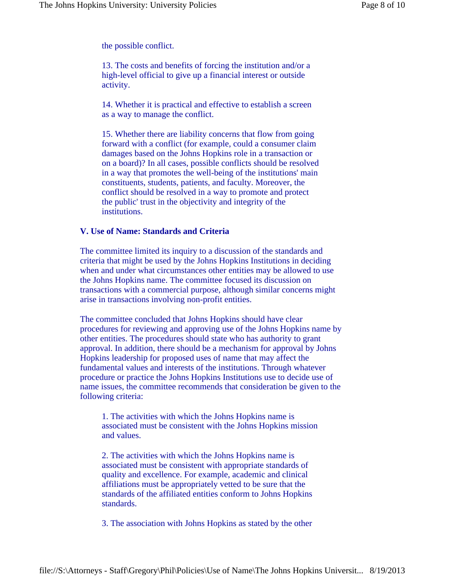the possible conflict.

13. The costs and benefits of forcing the institution and/or a high-level official to give up a financial interest or outside activity.

14. Whether it is practical and effective to establish a screen as a way to manage the conflict.

15. Whether there are liability concerns that flow from going forward with a conflict (for example, could a consumer claim damages based on the Johns Hopkins role in a transaction or on a board)? In all cases, possible conflicts should be resolved in a way that promotes the well-being of the institutions' main constituents, students, patients, and faculty. Moreover, the conflict should be resolved in a way to promote and protect the public' trust in the objectivity and integrity of the institutions.

# **V. Use of Name: Standards and Criteria**

The committee limited its inquiry to a discussion of the standards and criteria that might be used by the Johns Hopkins Institutions in deciding when and under what circumstances other entities may be allowed to use the Johns Hopkins name. The committee focused its discussion on transactions with a commercial purpose, although similar concerns might arise in transactions involving non-profit entities.

The committee concluded that Johns Hopkins should have clear procedures for reviewing and approving use of the Johns Hopkins name by other entities. The procedures should state who has authority to grant approval. In addition, there should be a mechanism for approval by Johns Hopkins leadership for proposed uses of name that may affect the fundamental values and interests of the institutions. Through whatever procedure or practice the Johns Hopkins Institutions use to decide use of name issues, the committee recommends that consideration be given to the following criteria:

1. The activities with which the Johns Hopkins name is associated must be consistent with the Johns Hopkins mission and values.

2. The activities with which the Johns Hopkins name is associated must be consistent with appropriate standards of quality and excellence. For example, academic and clinical affiliations must be appropriately vetted to be sure that the standards of the affiliated entities conform to Johns Hopkins standards.

3. The association with Johns Hopkins as stated by the other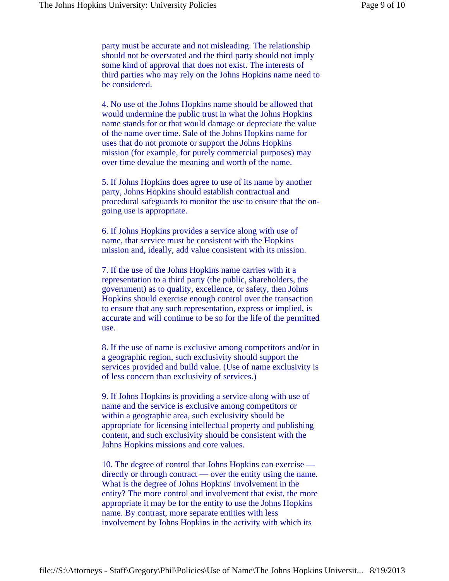party must be accurate and not misleading. The relationship should not be overstated and the third party should not imply some kind of approval that does not exist. The interests of third parties who may rely on the Johns Hopkins name need to be considered.

4. No use of the Johns Hopkins name should be allowed that would undermine the public trust in what the Johns Hopkins name stands for or that would damage or depreciate the value of the name over time. Sale of the Johns Hopkins name for uses that do not promote or support the Johns Hopkins mission (for example, for purely commercial purposes) may over time devalue the meaning and worth of the name.

5. If Johns Hopkins does agree to use of its name by another party, Johns Hopkins should establish contractual and procedural safeguards to monitor the use to ensure that the ongoing use is appropriate.

6. If Johns Hopkins provides a service along with use of name, that service must be consistent with the Hopkins mission and, ideally, add value consistent with its mission.

7. If the use of the Johns Hopkins name carries with it a representation to a third party (the public, shareholders, the government) as to quality, excellence, or safety, then Johns Hopkins should exercise enough control over the transaction to ensure that any such representation, express or implied, is accurate and will continue to be so for the life of the permitted use.

8. If the use of name is exclusive among competitors and/or in a geographic region, such exclusivity should support the services provided and build value. (Use of name exclusivity is of less concern than exclusivity of services.)

9. If Johns Hopkins is providing a service along with use of name and the service is exclusive among competitors or within a geographic area, such exclusivity should be appropriate for licensing intellectual property and publishing content, and such exclusivity should be consistent with the Johns Hopkins missions and core values.

10. The degree of control that Johns Hopkins can exercise directly or through contract — over the entity using the name. What is the degree of Johns Hopkins' involvement in the entity? The more control and involvement that exist, the more appropriate it may be for the entity to use the Johns Hopkins name. By contrast, more separate entities with less involvement by Johns Hopkins in the activity with which its